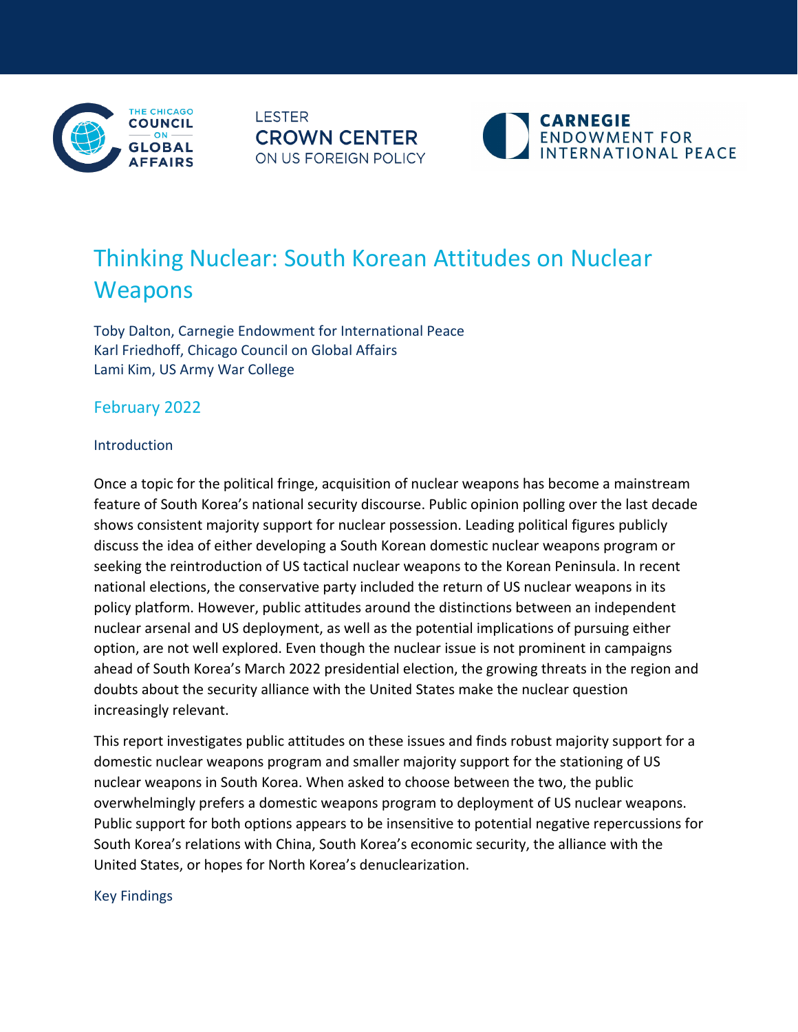

**LESTER CROWN CENTER** ON US FOREIGN POLICY



# Thinking Nuclear: South Korean Attitudes on Nuclear **Weapons**

Toby Dalton, Carnegie Endowment for International Peace Karl Friedhoff, Chicago Council on Global Affairs Lami Kim, US Army War College

February 2022

# Introduction

Once a topic for the political fringe, acquisition of nuclear weapons has become a mainstream feature of South Korea's national security discourse. Public opinion polling over the last decade shows consistent majority support for nuclear possession. Leading political figures publicly discuss the idea of either developing a South Korean domestic nuclear weapons program or seeking the reintroduction of US tactical nuclear weapons to the Korean Peninsula. In recent national elections, the conservative party included the return of US nuclear weapons in its policy platform. However, public attitudes around the distinctions between an independent nuclear arsenal and US deployment, as well as the potential implications of pursuing either option, are not well explored. Even though the nuclear issue is not prominent in campaigns ahead of South Korea's March 2022 presidential election, the growing threats in the region and doubts about the security alliance with the United States make the nuclear question increasingly relevant.

This report investigates public attitudes on these issues and finds robust majority support for a domestic nuclear weapons program and smaller majority support for the stationing of US nuclear weapons in South Korea. When asked to choose between the two, the public overwhelmingly prefers a domestic weapons program to deployment of US nuclear weapons. Public support for both options appears to be insensitive to potential negative repercussions for South Korea's relations with China, South Korea's economic security, the alliance with the United States, or hopes for North Korea's denuclearization.

# Key Findings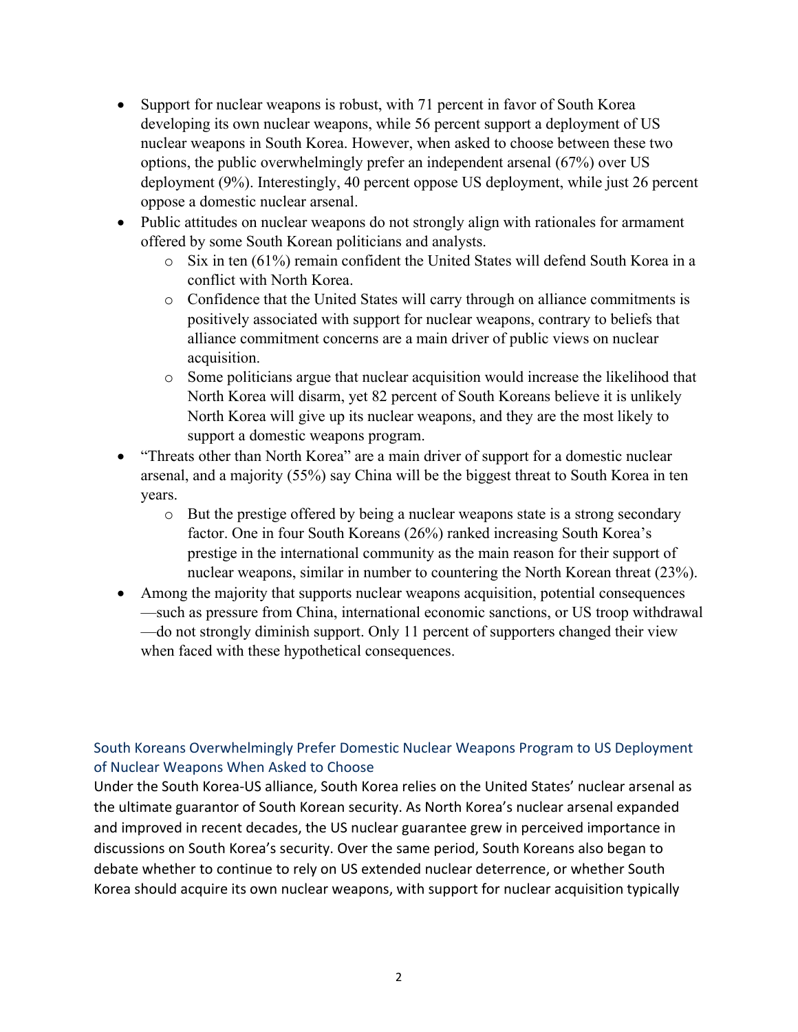- Support for nuclear weapons is robust, with 71 percent in favor of South Korea developing its own nuclear weapons, while 56 percent support a deployment of US nuclear weapons in South Korea. However, when asked to choose between these two options, the public overwhelmingly prefer an independent arsenal (67%) over US deployment (9%). Interestingly, 40 percent oppose US deployment, while just 26 percent oppose a domestic nuclear arsenal.
- Public attitudes on nuclear weapons do not strongly align with rationales for armament offered by some South Korean politicians and analysts.
	- o Six in ten (61%) remain confident the United States will defend South Korea in a conflict with North Korea.
	- o Confidence that the United States will carry through on alliance commitments is positively associated with support for nuclear weapons, contrary to beliefs that alliance commitment concerns are a main driver of public views on nuclear acquisition.
	- o Some politicians argue that nuclear acquisition would increase the likelihood that North Korea will disarm, yet 82 percent of South Koreans believe it is unlikely North Korea will give up its nuclear weapons, and they are the most likely to support a domestic weapons program.
- "Threats other than North Korea" are a main driver of support for a domestic nuclear arsenal, and a majority (55%) say China will be the biggest threat to South Korea in ten years.
	- o But the prestige offered by being a nuclear weapons state is a strong secondary factor. One in four South Koreans (26%) ranked increasing South Korea's prestige in the international community as the main reason for their support of nuclear weapons, similar in number to countering the North Korean threat (23%).
- Among the majority that supports nuclear weapons acquisition, potential consequences —such as pressure from China, international economic sanctions, or US troop withdrawal —do not strongly diminish support. Only 11 percent of supporters changed their view when faced with these hypothetical consequences.

# South Koreans Overwhelmingly Prefer Domestic Nuclear Weapons Program to US Deployment of Nuclear Weapons When Asked to Choose

Under the South Korea-US alliance, South Korea relies on the United States' nuclear arsenal as the ultimate guarantor of South Korean security. As North Korea's nuclear arsenal expanded and improved in recent decades, the US nuclear guarantee grew in perceived importance in discussions on South Korea's security. Over the same period, South Koreans also began to debate whether to continue to rely on US extended nuclear deterrence, or whether South Korea should acquire its own nuclear weapons, with support for nuclear acquisition typically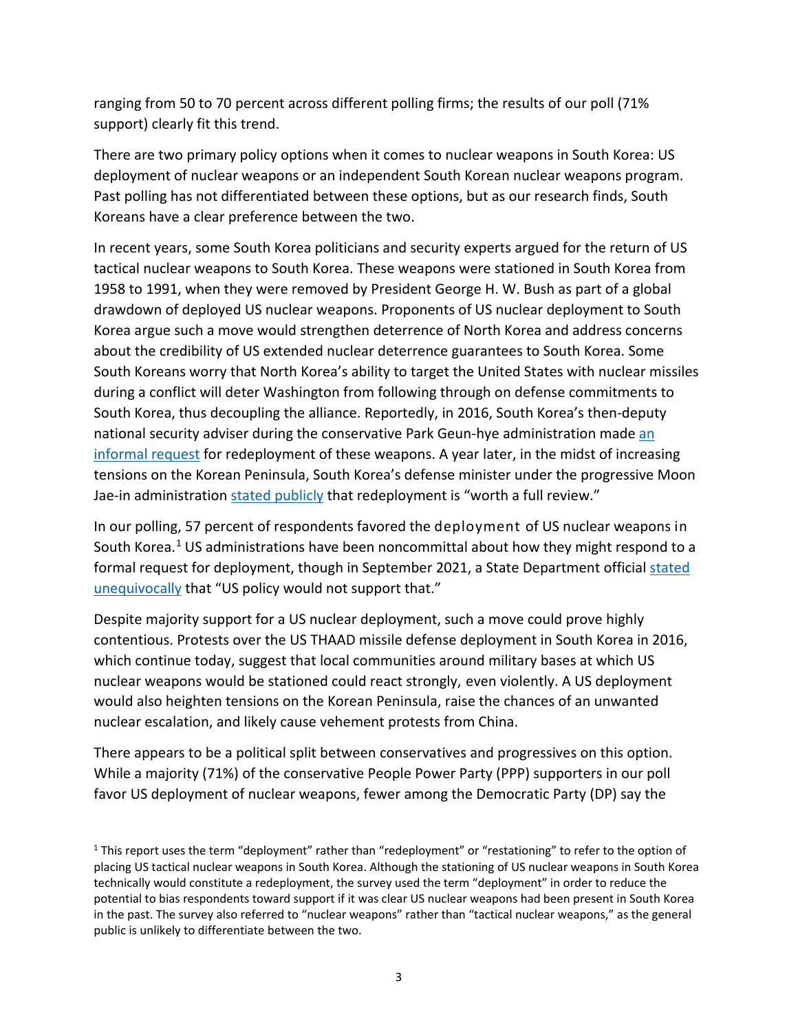ranging from 50 to 70 percent across different polling firms; the results of our poll (71% support) clearly fit this [trend.](https://carnegieendowment.org/2020/10/26/elections-nukes-and-future-of-south-korea-u.s.-alliance-pub-83044)

There are two primary policy options when it comes to nuclear weapons in South Korea: US deployment of nuclear weapons or an independent South Korean nuclear weapons program. Past polling has not differentiated between these options, but as our research finds, South Koreans have a clear preference between the two.

In recent years, some South Korea politicians and security experts argued for the return of US tactical nuclear weapons to South Korea. These weapons were stationed in South Korea from 1958 to 1991, when they were removed by President George H. W. Bush as part of a global drawdown of deployed US nuclear weapons. Proponents of US nuclear deployment to South Korea argue such a move would strengthen deterrence of North Korea and address concerns about the credibility of US extended nuclear deterrence guarantees to South Korea. Some South Koreans worry that North Korea's ability to target the United States with nuclear missiles during a conflict will deter Washington from following through on defense commitments to South Korea, thus decoupling the alliance. Reportedly, in 2016, South Korea's then-deputy national security adviser during the conservative Park Geun-hye administration made [an](https://www.chosun.com/site/data/html_dir/2017/09/11/2017091100452.html)  [informal request](https://www.chosun.com/site/data/html_dir/2017/09/11/2017091100452.html) for redeployment of these weapons. A year later, in the midst of increasing tensions on the Korean Peninsula, South Korea's defense minister under the progressive Moon Jae-in administration [stated publicly](https://www.washingtonpost.com/world/south-koreas-defense-minister-raises-the-idea-of-bringing-back-tactical-us-nuclear-weapons/2017/09/04/7a468314-9155-11e7-b9bc-b2f7903bab0d_story.html) that redeployment is "worth a full review."

In our polling, 57 percent of respondents favored the deployment of US nuclear weapons in South Korea.<sup>[1](#page-2-0)</sup> US administrations have been noncommittal about how they might respond to a formal request for deployment, though in September 2021, a State Department official stated [unequivocally](https://www.voanews.com/a/us-rules-out-redeploying-tactical-nukes-to-south-korea/6243767.html) that "US policy would not support that."

Despite majority support for a US nuclear deployment, such a move could prove highly contentious. Protests over the US THAAD missile defense deployment in South Korea in 2016, which continue today, suggest that local communities around military bases at which US nuclear weapons would be stationed could react strongly, even violently. A US deployment would also heighten tensions on the Korean Peninsula, raise the chances of an unwanted nuclear escalation, and likely cause vehement protests from China.

There appears to be a political split between conservatives and progressives on this option. While a majority (71%) of the conservative People Power Party (PPP) supporters in our poll favor US deployment of nuclear weapons, fewer among the Democratic Party (DP) say the

<span id="page-2-0"></span><sup>&</sup>lt;sup>1</sup> This report uses the term "deployment" rather than "redeployment" or "restationing" to refer to the option of placing US tactical nuclear weapons in South Korea. Although the stationing of US nuclear weapons in South Korea technically would constitute a redeployment, the survey used the term "deployment" in order to reduce the potential to bias respondents toward support if it was clear US nuclear weapons had been present in South Korea in the past. The survey also referred to "nuclear weapons" rather than "tactical nuclear weapons," as the general public is unlikely to differentiate between the two.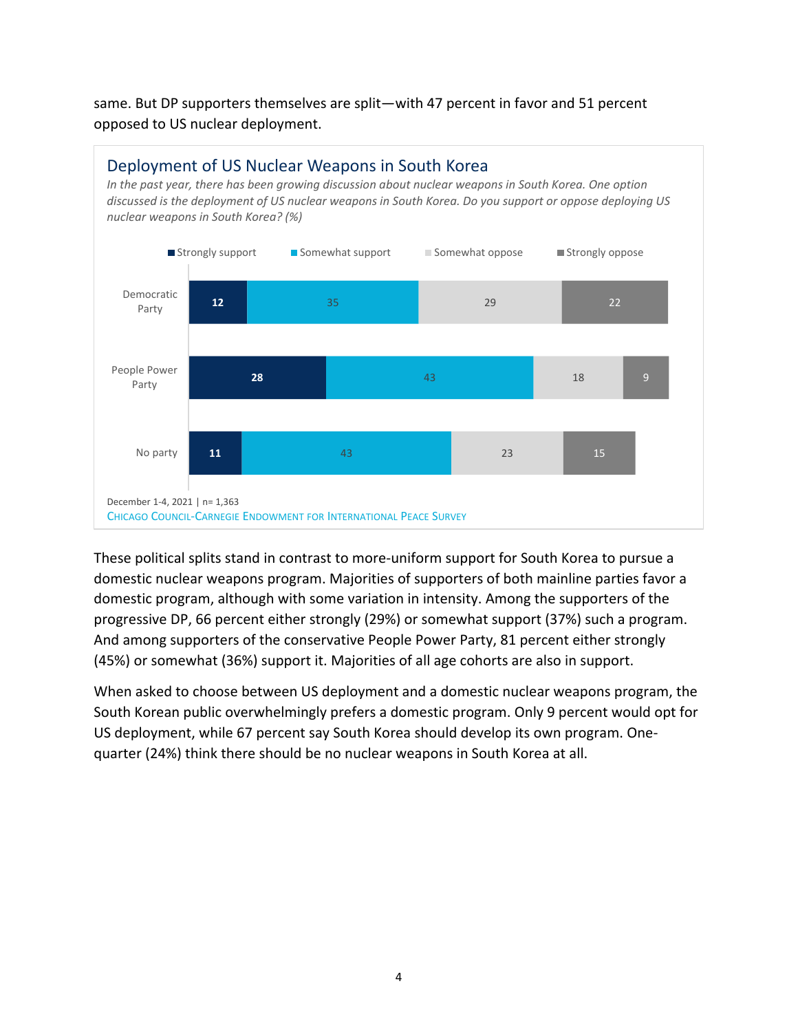same. But DP supporters themselves are split—with 47 percent in favor and 51 percent opposed to US nuclear deployment.



These political splits stand in contrast to more-uniform support for South Korea to pursue a domestic nuclear weapons program. Majorities of supporters of both mainline parties favor a domestic program, although with some variation in intensity. Among the supporters of the progressive DP, 66 percent either strongly (29%) or somewhat support (37%) such a program. And among supporters of the conservative People Power Party, 81 percent either strongly (45%) or somewhat (36%) support it. Majorities of all age cohorts are also in support.

When asked to choose between US deployment and a domestic nuclear weapons program, the South Korean public overwhelmingly prefers a domestic program. Only 9 percent would opt for US deployment, while 67 percent say South Korea should develop its own program. Onequarter (24%) think there should be no nuclear weapons in South Korea at all.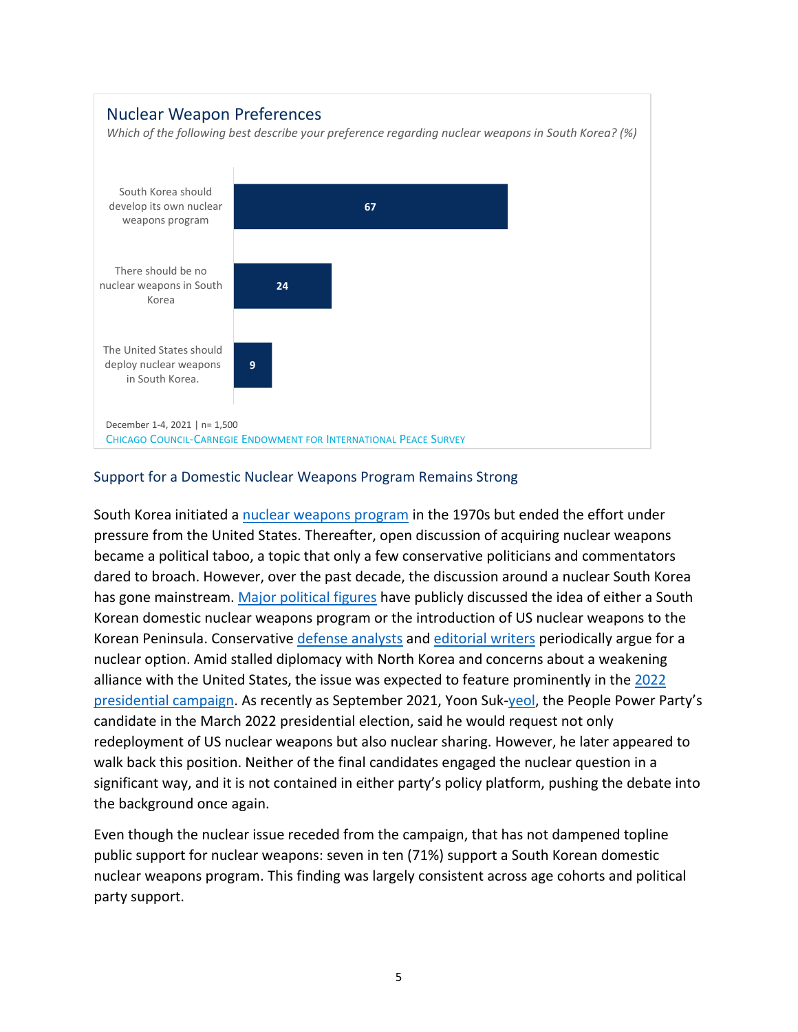

# Support for a Domestic Nuclear Weapons Program Remains Strong

South Korea initiated a [nuclear weapons program](https://www.wilsoncenter.org/article/the-united-states-and-south-koreas-nuclear-weapons-program-1974-1976) in the 1970s but ended the effort under pressure from the United States. Thereafter, open discussion of acquiring nuclear weapons became a political taboo, a topic that only a few conservative politicians and commentators dared to broach. However, over the past decade, the discussion around a nuclear South Korea has gone mainstream. [Major political figures](http://english.khan.co.kr/khan_art_view.html?artid=201710271449417) have publicly discussed the idea of either a South Korean domestic nuclear weapons program or the introduction of US nuclear weapons to the Korean Peninsula. Conservative [defense analysts](https://www.upi.com/Top_News/Special/2009/10/21/Calls-for-nuclear-weapons-in-South-Korea/51191256130461/) and [editorial writers](http://english.chosun.com/site/data/html_dir/2012/07/10/2012071001459.html) periodically argue for a nuclear option. Amid stalled diplomacy with North Korea and concerns about a weakening alliance with the United States, the issue was expected to feature prominently in the 2022 [presidential campaign.](https://foreignpolicy.com/2021/09/09/south-korea-nuclear-deterrent-north-korea/) As recently as September 2021, [Yoon Suk-yeol,](https://www.yna.co.kr/view/AKR20210922038200001) the People Power Party's candidate in the March 2022 presidential election, said he would request not only redeployment of US nuclear weapons but also nuclear sharing. However, he later appeared to walk back this position. Neither of the final candidates engaged the nuclear question in a significant way, and it is not contained in either party's policy platform, pushing the debate into the background once again.

Even though the nuclear issue receded from the campaign, that has not dampened topline public support for nuclear weapons: seven in ten (71%) support a South Korean domestic nuclear weapons program. This finding was largely consistent across age cohorts and political party support.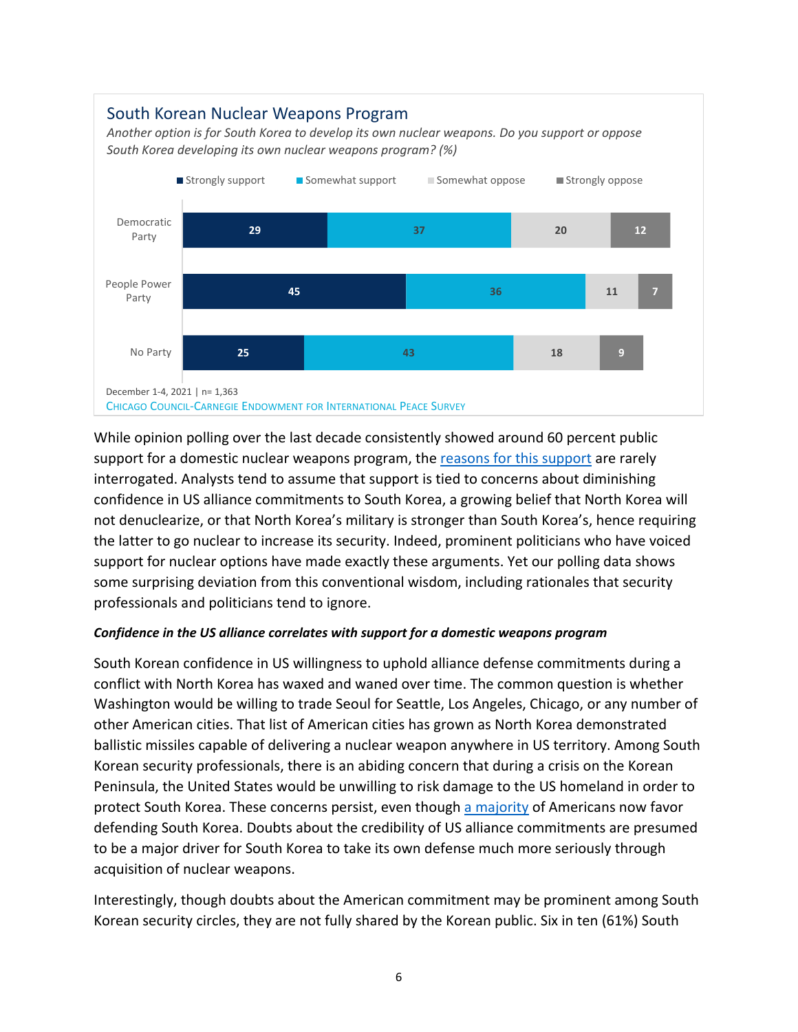

While opinion polling over the last decade consistently showed around 60 percent public support for a domestic nuclear weapons program, the [reasons for this support](https://online.ucpress.edu/as/article-abstract/61/6/1028/118589/Correlates-of-South-Korean-Public-Opinion-on) are rarely interrogated. Analysts tend to assume that support is tied to concerns about diminishing confidence in US alliance commitments to South Korea, a growing belief that North Korea will not denuclearize, or that North Korea's military is stronger than South Korea's, hence requiring the latter to go nuclear to increase its security. Indeed, prominent politicians who have voiced support for nuclear options have made exactly these arguments. Yet our polling data shows some surprising deviation from this conventional wisdom, including rationales that security professionals and politicians tend to ignore.

#### *Confidence in the US alliance correlates with support for a domestic weapons program*

South Korean confidence in US willingness to uphold alliance defense commitments during a conflict with North Korea has waxed and waned over time. The common question is whether Washington would be willing to trade Seoul for Seattle, Los Angeles, Chicago, or any number of other American cities. That list of American cities has grown as North Korea demonstrated ballistic missiles capable of delivering a nuclear weapon anywhere in US territory. Among South Korean security professionals, there is an abiding concern that during a crisis on the Korean Peninsula, the United States would be unwilling to risk damage to the US homeland in order to protect South Korea. These concerns persist, even though [a majority](https://www.thechicagocouncil.org/research/public-opinion-survey/americans-remain-committed-south-korea-view-north-korea-adversary) of Americans now favor defending South Korea. Doubts about the credibility of US alliance commitments are presumed to be a major driver for South Korea to take its own defense much more seriously through acquisition of nuclear weapons.

Interestingly, though doubts about the American commitment may be prominent among South Korean security circles, they are not fully shared by the Korean public. Six in ten (61%) South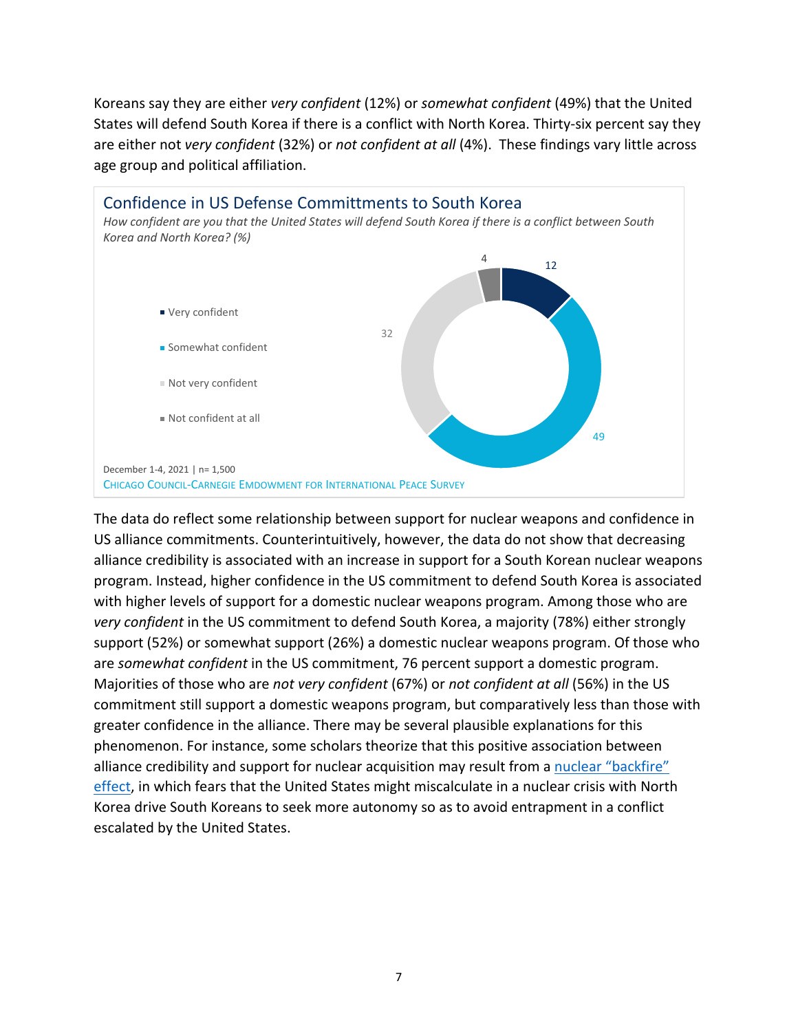Koreans say they are either *very confident* (12%) or *somewhat confident* (49%) that the United States will defend South Korea if there is a conflict with North Korea. Thirty-six percent say they are either not *very confident* (32%) or *not confident at all* (4%). These findings vary little across age group and political affiliation.



The data do reflect some relationship between support for nuclear weapons and confidence in US alliance commitments. Counterintuitively, however, the data do not show that decreasing alliance credibility is associated with an increase in support for a South Korean nuclear weapons program. Instead, higher confidence in the US commitment to defend South Korea is associated with higher levels of support for a domestic nuclear weapons program. Among those who are *very confident* in the US commitment to defend South Korea, a majority (78%) either strongly support (52%) or somewhat support (26%) a domestic nuclear weapons program. Of those who are *somewhat confident* in the US commitment, 76 percent support a domestic program. Majorities of those who are *not very confident* (67%) or *not confident at all* (56%) in the US commitment still support a domestic weapons program, but comparatively less than those with greater confidence in the alliance. There may be several plausible explanations for this phenomenon. For instance, some scholars theorize that this positive association between alliance credibility and support for nuclear acquisition may result from a nuclear "backfire" [effect,](https://journals.sagepub.com/doi/10.1177/0022002719888689) in which fears that the United States might miscalculate in a nuclear crisis with North Korea drive South Koreans to seek more autonomy so as to avoid entrapment in a conflict escalated by the United States.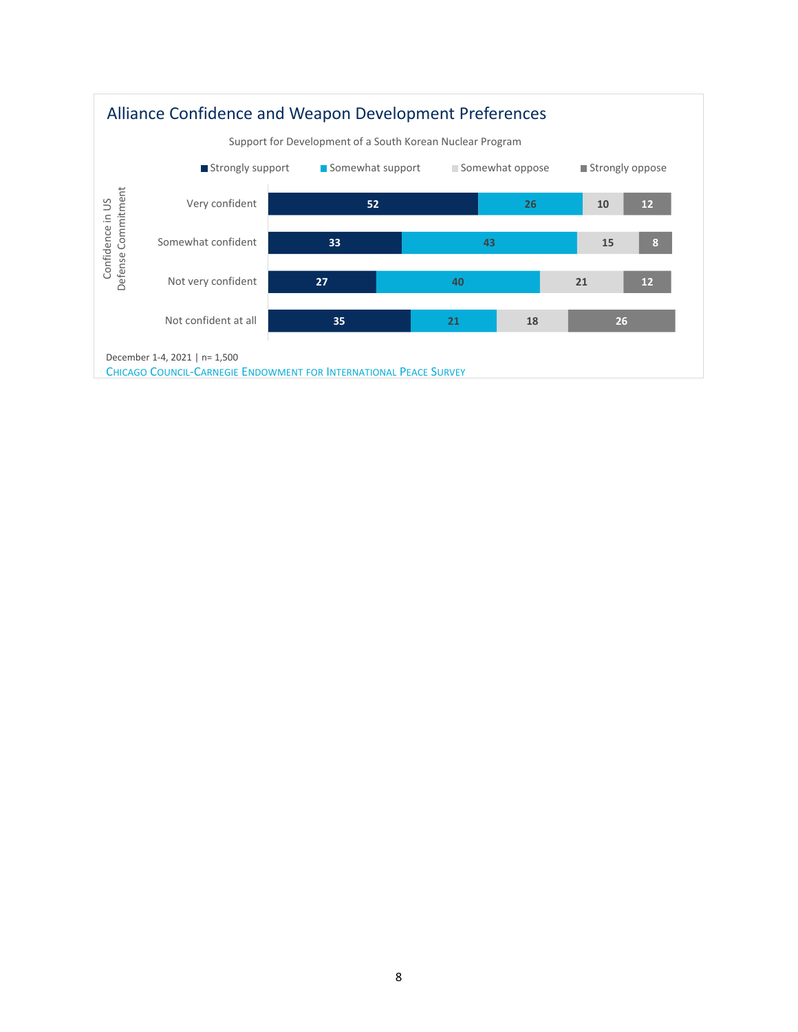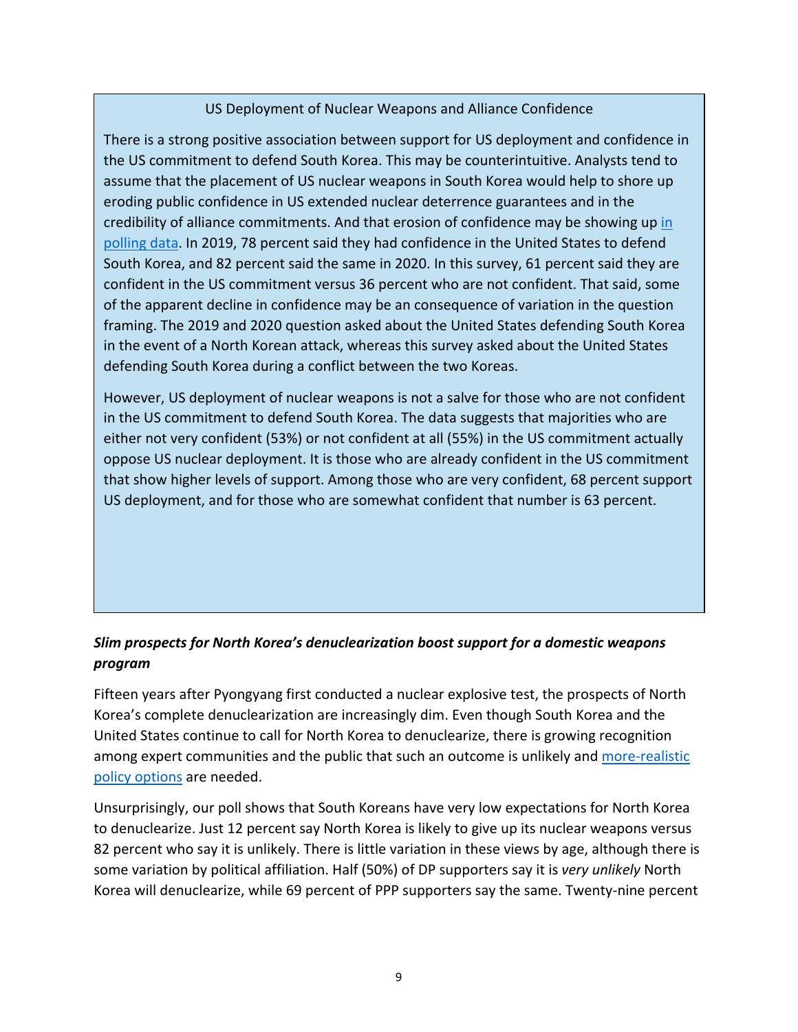# US Deployment of Nuclear Weapons and Alliance Confidence

There is a strong positive association between support for US deployment and confidence in the US commitment to defend South Korea. This may be counterintuitive. Analysts tend to assume that the placement of US nuclear weapons in South Korea would help to shore up eroding public confidence in US extended nuclear deterrence guarantees and in the credibility of alliance commitments. And that erosion of confidence may be showing up [in](https://www.thechicagocouncil.org/research/public-opinion-survey/troop-withdrawal-likely-undermine-south-korean-public-support)  [polling data.](https://www.thechicagocouncil.org/research/public-opinion-survey/troop-withdrawal-likely-undermine-south-korean-public-support) In 2019, 78 percent said they had confidence in the United States to defend South Korea, and 82 percent said the same in 2020. In this survey, 61 percent said they are confident in the US commitment versus 36 percent who are not confident. That said, some of the apparent decline in confidence may be an consequence of variation in the question framing. The 2019 and 2020 question asked about the United States defending South Korea in the event of a North Korean attack, whereas this survey asked about the United States defending South Korea during a conflict between the two Koreas.

However, US deployment of nuclear weapons is not a salve for those who are not confident in the US commitment to defend South Korea. The data suggests that majorities who are either not very confident (53%) or not confident at all (55%) in the US commitment actually oppose US nuclear deployment. It is those who are already confident in the US commitment that show higher levels of support. Among those who are very confident, 68 percent support US deployment, and for those who are somewhat confident that number is 63 percent.

# *Slim prospects for North Korea's denuclearization boost support for a domestic weapons program*

Fifteen years after Pyongyang first conducted a nuclear explosive test, the prospects of North Korea's complete denuclearization are increasingly dim. Even though South Korea and the United States continue to call for North Korea to denuclearize, there is growing recognition among expert communities and the public that such an outcome is unlikely and more-realistic [policy options](https://www.kida.re.kr/frt/board/frtNormalBoardDetail.do?sidx=2263&idx=2584&depth=3&searchCondition=&searchKeyword=&pageIndex=1&lang=kr&v_sidx=707) are needed.

Unsurprisingly, our poll shows that South Koreans have very low expectations for North Korea to denuclearize. Just 12 percent say North Korea is likely to give up its nuclear weapons versus 82 percent who say it is unlikely. There is little variation in these views by age, although there is some variation by political affiliation. Half (50%) of DP supporters say it is *very unlikely* North Korea will denuclearize, while 69 percent of PPP supporters say the same. Twenty-nine percent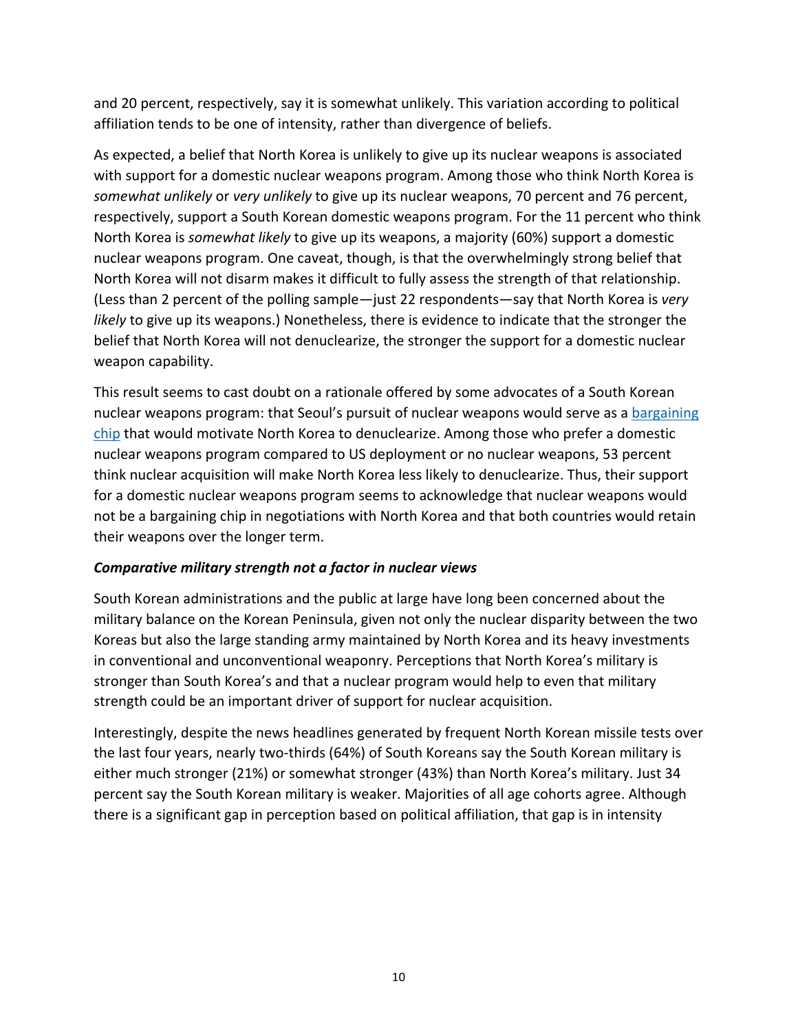and 20 percent, respectively, say it is somewhat unlikely. This variation according to political affiliation tends to be one of intensity, rather than divergence of beliefs.

As expected, a belief that North Korea is unlikely to give up its nuclear weapons is associated with support for a domestic nuclear weapons program. Among those who think North Korea is *somewhat unlikely* or *very unlikely* to give up its nuclear weapons, 70 percent and 76 percent, respectively, support a South Korean domestic weapons program. For the 11 percent who think North Korea is *somewhat likely* to give up its weapons, a majority (60%) support a domestic nuclear weapons program. One caveat, though, is that the overwhelmingly strong belief that North Korea will not disarm makes it difficult to fully assess the strength of that relationship. (Less than 2 percent of the polling sample—just 22 respondents—say that North Korea is *very likely* to give up its weapons.) Nonetheless, there is evidence to indicate that the stronger the belief that North Korea will not denuclearize, the stronger the support for a domestic nuclear weapon capability.

This result seems to cast doubt on a rationale offered by some advocates of a South Korean nuclear weapons program: that Seoul's pursuit of nuclear weapons would serve as a bargaining [chip](https://carnegieendowment.org/files/0409carnegie-day2-morning-keynote.pdf) that would motivate North Korea to denuclearize. Among those who prefer a domestic nuclear weapons program compared to US deployment or no nuclear weapons, 53 percent think nuclear acquisition will make North Korea less likely to denuclearize. Thus, their support for a domestic nuclear weapons program seems to acknowledge that nuclear weapons would not be a bargaining chip in negotiations with North Korea and that both countries would retain their weapons over the longer term.

# *Comparative military strength not a factor in nuclear views*

South Korean administrations and the public at large have long been concerned about the military balance on the Korean Peninsula, given not only the nuclear disparity between the two Koreas but also the large standing army maintained by North Korea and its heavy investments in conventional and unconventional weaponry. Perceptions that North Korea's military is stronger than South Korea's and that a nuclear program would help to even that military strength could be an important driver of support for nuclear acquisition.

Interestingly, despite the news headlines generated by frequent North Korean missile tests over the last four years, nearly two-thirds (64%) of South Koreans say the South Korean military is either much stronger (21%) or somewhat stronger (43%) than North Korea's military. Just 34 percent say the South Korean military is weaker. Majorities of all age cohorts agree. Although there is a significant gap in perception based on political affiliation, that gap is in intensity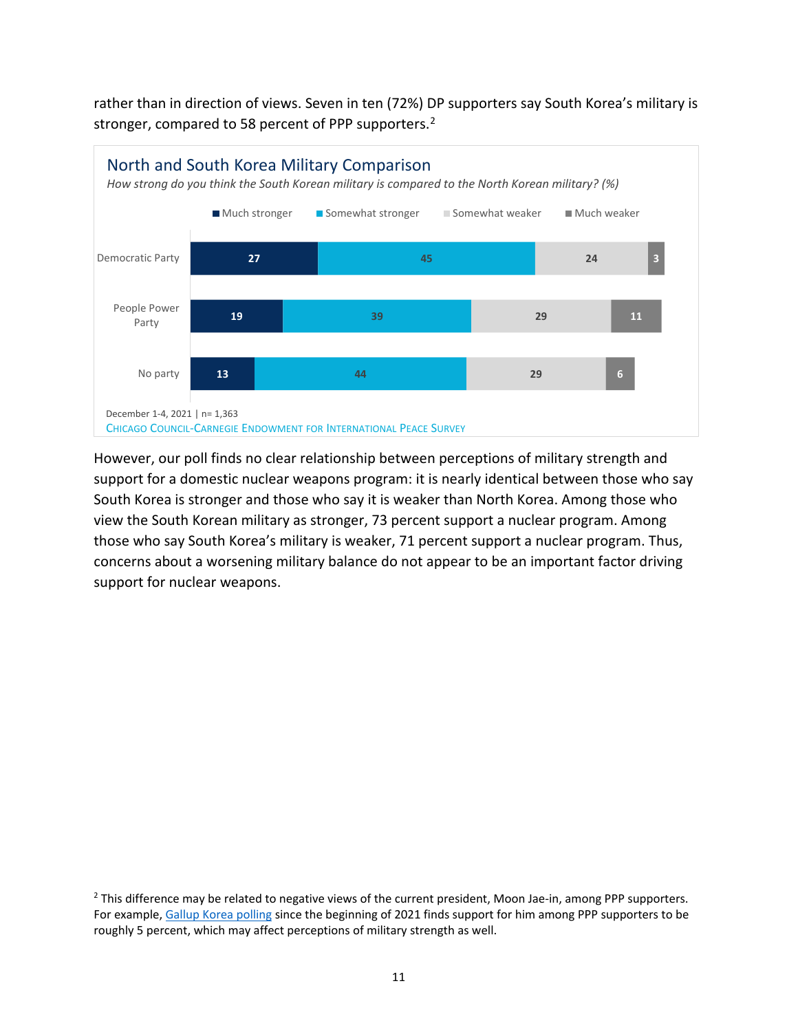rather than in direction of views. Seven in ten (72%) DP supporters say South Korea's military is stronger, compared to 58 percent of PPP supporters.<sup>[2](#page-10-0)</sup>



However, our poll finds no clear relationship between perceptions of military strength and support for a domestic nuclear weapons program: it is nearly identical between those who say South Korea is stronger and those who say it is weaker than North Korea. Among those who view the South Korean military as stronger, 73 percent support a nuclear program. Among those who say South Korea's military is weaker, 71 percent support a nuclear program. Thus, concerns about a worsening military balance do not appear to be an important factor driving support for nuclear weapons.

<span id="page-10-0"></span><sup>&</sup>lt;sup>2</sup> This difference may be related to negative views of the current president, Moon Jae-in, among PPP supporters. For example, [Gallup Korea polling](https://www.gallup.co.kr/gallupdb/reportContent.asp?seqNo=1169) since the beginning of 2021 finds support for him among PPP supporters to be roughly 5 percent, which may affect perceptions of military strength as well.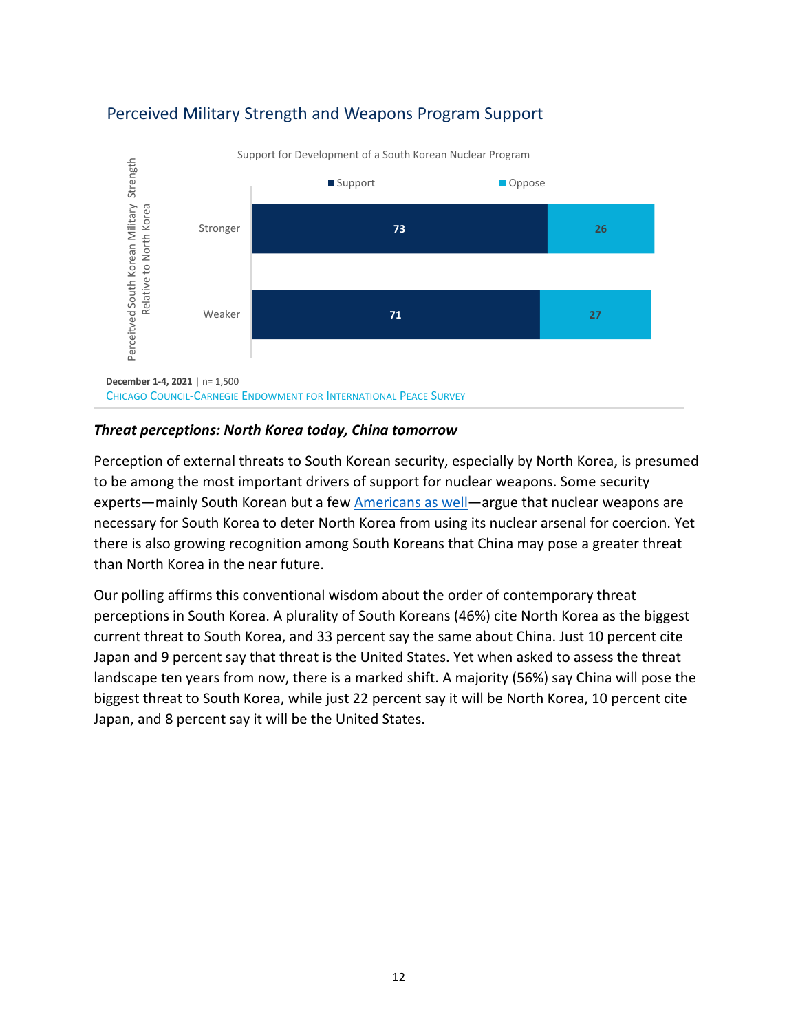

### *Threat perceptions: North Korea today, China tomorrow*

Perception of external threats to South Korean security, especially by North Korea, is presumed to be among the most important drivers of support for nuclear weapons. Some security experts—mainly South Korean but a few [Americans as well—](https://www.washingtonpost.com/outlook/should-south-korea-go-nuclear/2021/10/07/a40bb400-2628-11ec-8d53-67cfb452aa60_story.html)argue that nuclear weapons are necessary for South Korea to deter North Korea from using its nuclear arsenal for coercion. Yet there is also growing recognition among South Koreans that China may pose a greater threat than North Korea in the near future.

Our polling affirms this conventional wisdom about the order of contemporary threat perceptions in South Korea. A plurality of South Koreans (46%) cite North Korea as the biggest current threat to South Korea, and 33 percent say the same about China. Just 10 percent cite Japan and 9 percent say that threat is the United States. Yet when asked to assess the threat landscape ten years from now, there is a marked shift. A majority (56%) say China will pose the biggest threat to South Korea, while just 22 percent say it will be North Korea, 10 percent cite Japan, and 8 percent say it will be the United States.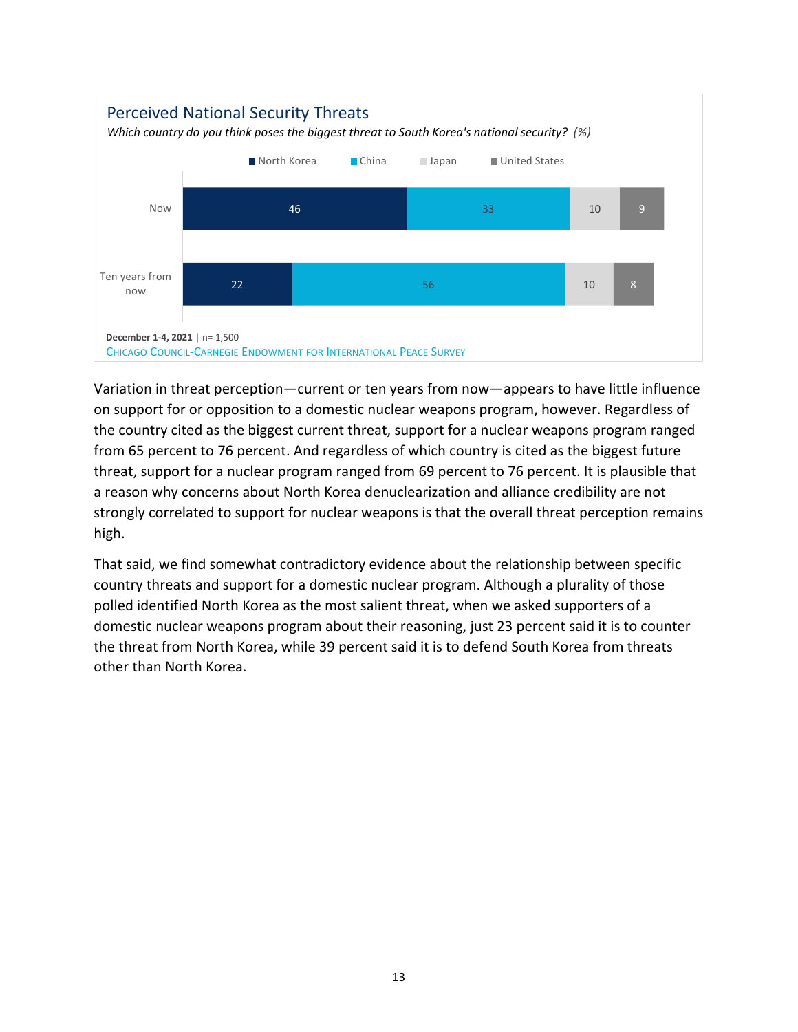

Variation in threat perception—current or ten years from now—appears to have little influence on support for or opposition to a domestic nuclear weapons program, however. Regardless of the country cited as the biggest current threat, support for a nuclear weapons program ranged from 65 percent to 76 percent. And regardless of which country is cited as the biggest future threat, support for a nuclear program ranged from 69 percent to 76 percent. It is plausible that a reason why concerns about North Korea denuclearization and alliance credibility are not strongly correlated to support for nuclear weapons is that the overall threat perception remains high.

That said, we find somewhat contradictory evidence about the relationship between specific country threats and support for a domestic nuclear program. Although a plurality of those polled identified North Korea as the most salient threat, when we asked supporters of a domestic nuclear weapons program about their reasoning, just 23 percent said it is to counter the threat from North Korea, while 39 percent said it is to defend South Korea from threats other than North Korea.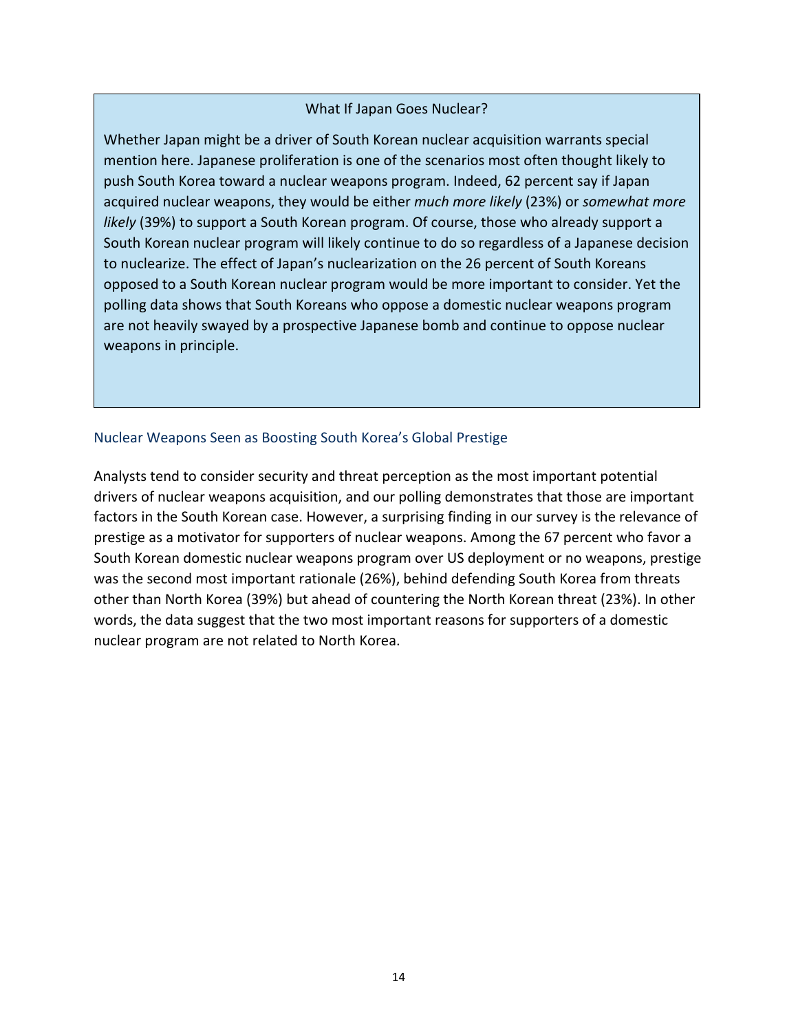#### What If Japan Goes Nuclear?

Whether Japan might be a driver of South Korean nuclear acquisition warrants special mention here. Japanese proliferation is one of the scenarios most often thought likely to push South Korea toward a nuclear weapons program. Indeed, 62 percent say if Japan acquired nuclear weapons, they would be either *much more likely* (23%) or *somewhat more likely* (39%) to support a South Korean program. Of course, those who already support a South Korean nuclear program will likely continue to do so regardless of a Japanese decision to nuclearize. The effect of Japan's nuclearization on the 26 percent of South Koreans opposed to a South Korean nuclear program would be more important to consider. Yet the polling data shows that South Koreans who oppose a domestic nuclear weapons program are not heavily swayed by a prospective Japanese bomb and continue to oppose nuclear weapons in principle.

#### Nuclear Weapons Seen as Boosting South Korea's Global Prestige

Analysts tend to consider security and threat perception as the most important potential drivers of nuclear weapons acquisition, and our polling demonstrates that those are important factors in the South Korean case. However, a surprising finding in our survey is the relevance of prestige as a motivator for supporters of nuclear weapons. Among the 67 percent who favor a South Korean domestic nuclear weapons program over US deployment or no weapons, prestige was the second most important rationale (26%), behind defending South Korea from threats other than North Korea (39%) but ahead of countering the North Korean threat (23%). In other words, the data suggest that the two most important reasons for supporters of a domestic nuclear program are not related to North Korea.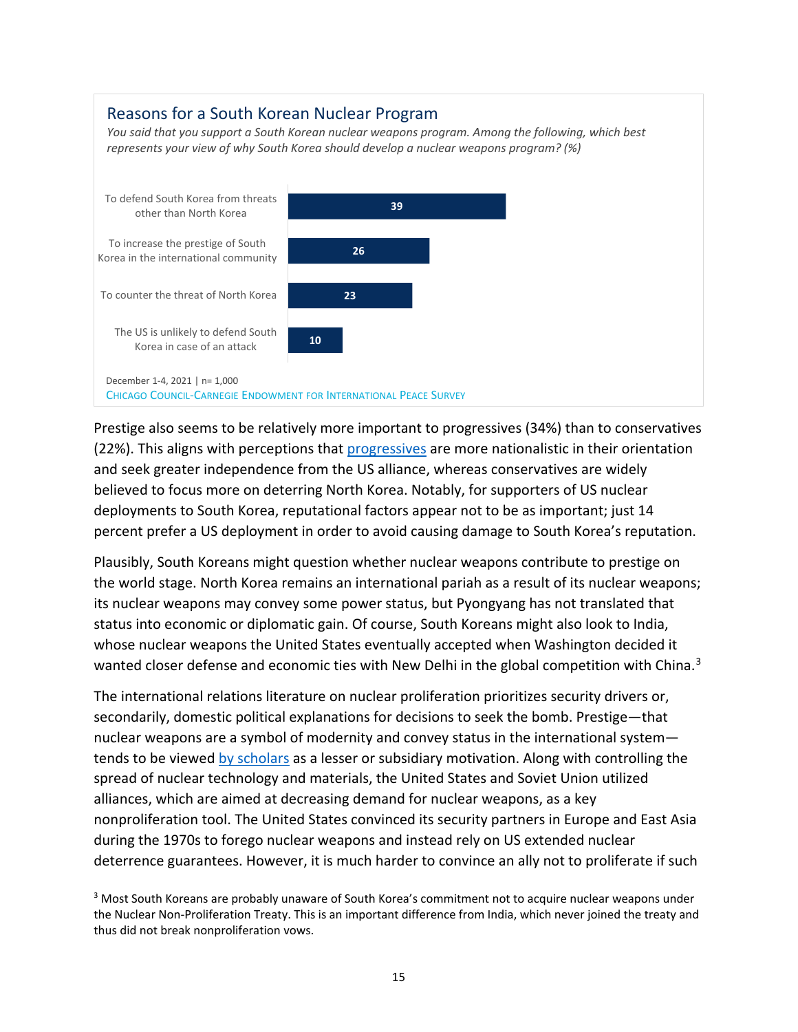#### Reasons for a South Korean Nuclear Program *You said that you support a South Korean nuclear weapons program. Among the following, which best represents your view of why South Korea should develop a nuclear weapons program? (%)*



Prestige also seems to be relatively more important to progressives (34%) than to conservatives (22%). This aligns with perceptions that [progressives](https://warontherocks.com/2021/09/a-hawkish-dove-president-moon-jae-in-and-south-koreas-military-buildup/) are more nationalistic in their orientation and seek greater independence from the US alliance, whereas conservatives are widely believed to focus more on deterring North Korea. Notably, for supporters of US nuclear deployments to South Korea, reputational factors appear not to be as important; just 14 percent prefer a US deployment in order to avoid causing damage to South Korea's reputation.

Plausibly, South Koreans might question whether nuclear weapons contribute to prestige on the world stage. North Korea remains an international pariah as a result of its nuclear weapons; its nuclear weapons may convey some power status, but Pyongyang has not translated that status into economic or diplomatic gain. Of course, South Koreans might also look to India, whose nuclear weapons the United States eventually accepted when Washington decided it wanted closer defense and economic ties with New Delhi in the global competition with China.<sup>[3](#page-14-0)</sup>

The international relations literature on nuclear proliferation prioritizes security drivers or, secondarily, domestic political explanations for decisions to seek the bomb. Prestige—that nuclear weapons are a symbol of modernity and convey status in the international system tends to be viewed [by scholars](https://www.jstor.org/stable/2539273) as a lesser or subsidiary motivation. Along with controlling the spread of nuclear technology and materials, the United States and Soviet Union utilized alliances, which are aimed at decreasing demand for nuclear weapons, as a key nonproliferation tool. The United States convinced its security partners in Europe and East Asia during the 1970s to forego nuclear weapons and instead rely on US extended nuclear deterrence guarantees. However, it is much harder to convince an ally not to proliferate if such

<span id="page-14-0"></span><sup>&</sup>lt;sup>3</sup> Most South Koreans are probably unaware of South Korea's commitment not to acquire nuclear weapons under the Nuclear Non-Proliferation Treaty. This is an important difference from India, which never joined the treaty and thus did not break nonproliferation vows.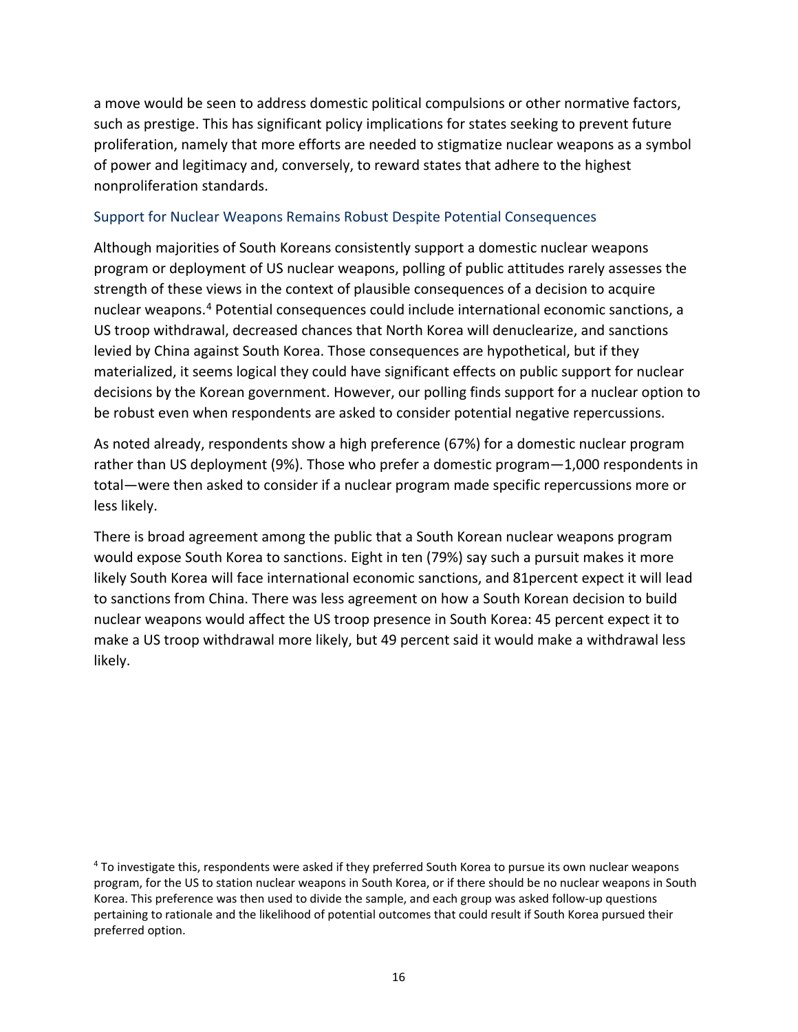a move would be seen to address domestic political compulsions or other normative factors, such as prestige. This has significant policy implications for states seeking to prevent future proliferation, namely that more efforts are needed to stigmatize nuclear weapons as a symbol of power and legitimacy and, conversely, to reward states that adhere to the highest nonproliferation standards.

#### Support for Nuclear Weapons Remains Robust Despite Potential Consequences

Although majorities of South Koreans consistently support a domestic nuclear weapons program or deployment of US nuclear weapons, polling of public attitudes rarely assesses the strength of these views in the context of plausible consequences of a decision to acquire nuclear weapons.[4](#page-15-0) Potential consequences could include international economic sanctions, a US troop withdrawal, decreased chances that North Korea will denuclearize, and sanctions levied by China against South Korea. Those consequences are hypothetical, but if they materialized, it seems logical they could have significant effects on public support for nuclear decisions by the Korean government. However, our polling finds support for a nuclear option to be robust even when respondents are asked to consider potential negative repercussions.

As noted already, respondents show a high preference (67%) for a domestic nuclear program rather than US deployment (9%). Those who prefer a domestic program—1,000 respondents in total—were then asked to consider if a nuclear program made specific repercussions more or less likely.

There is broad agreement among the public that a South Korean nuclear weapons program would expose South Korea to sanctions. Eight in ten (79%) say such a pursuit makes it more likely South Korea will face international economic sanctions, and 81percent expect it will lead to sanctions from China. There was less agreement on how a South Korean decision to build nuclear weapons would affect the US troop presence in South Korea: 45 percent expect it to make a US troop withdrawal more likely, but 49 percent said it would make a withdrawal less likely.

<span id="page-15-0"></span><sup>4</sup> To investigate this, respondents were asked if they preferred South Korea to pursue its own nuclear weapons program, for the US to station nuclear weapons in South Korea, or if there should be no nuclear weapons in South Korea. This preference was then used to divide the sample, and each group was asked follow-up questions pertaining to rationale and the likelihood of potential outcomes that could result if South Korea pursued their preferred option.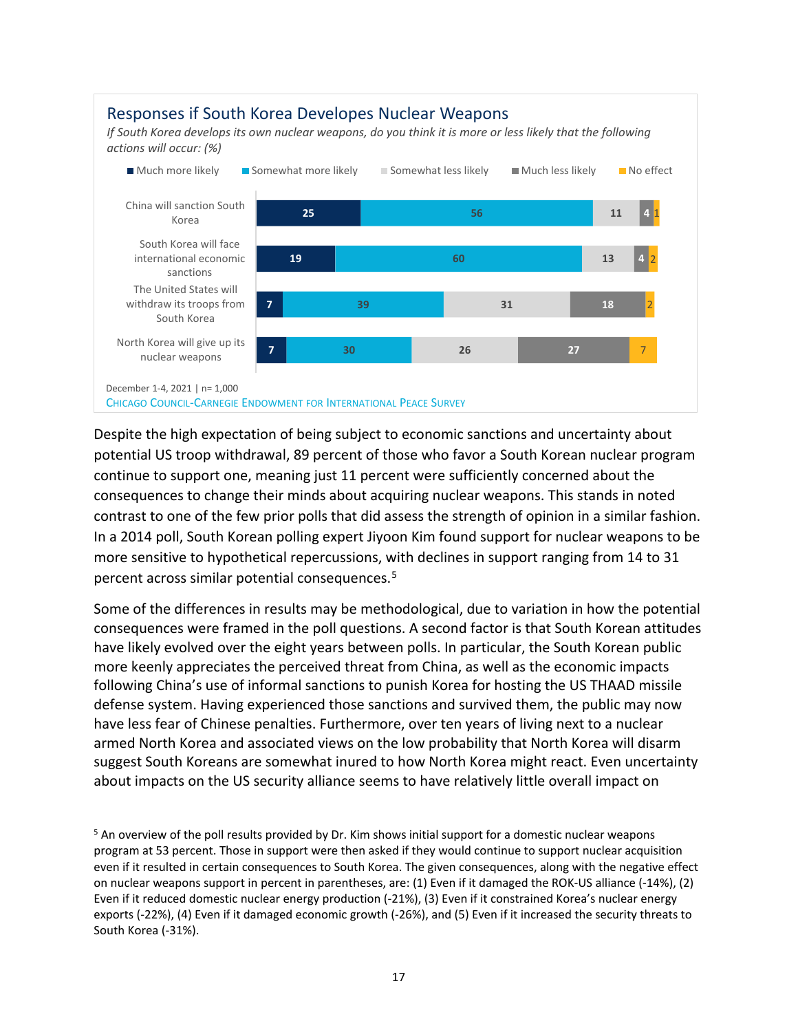#### **25 19 7 7 56 60 39 30 11 13 31 26 4 4 18 27** 1 2 2 7 China will sanction South Korea South Korea will face international economic sanctions The United States will withdraw its troops from South Korea North Korea will give up its nuclear weapons Much more likely Somewhat more likely Somewhat less likely Much less likely No effect Responses if South Korea Developes Nuclear Weapons *If South Korea develops its own nuclear weapons, do you think it is more or less likely that the following actions will occur: (%)*  December 1-4, 2021 | n= 1,000 CHICAGO COUNCIL-CARNEGIE ENDOWMENT FOR INTERNATIONAL PEACE SURVEY

Despite the high expectation of being subject to economic sanctions and uncertainty about potential US troop withdrawal, 89 percent of those who favor a South Korean nuclear program continue to support one, meaning just 11 percent were sufficiently concerned about the consequences to change their minds about acquiring nuclear weapons. This stands in noted contrast to one of the few prior polls that did assess the strength of opinion in a similar fashion. In a 2014 poll, South Korean polling expert Jiyoon Kim found support for nuclear weapons to be more sensitive to hypothetical repercussions, with declines in support ranging from 14 to 31 percent across similar potential consequences.[5](#page-16-0)

Some of the differences in results may be methodological, due to variation in how the potential consequences were framed in the poll questions. A second factor is that South Korean attitudes have likely evolved over the eight years between polls. In particular, the South Korean public more keenly appreciates the perceived threat from China, as well as the economic impacts following China's use of informal sanctions to punish Korea for hosting the US THAAD missile defense system. Having experienced those sanctions and survived them, the public may now have less fear of Chinese penalties. Furthermore, over ten years of living next to a nuclear armed North Korea and associated views on the low probability that North Korea will disarm suggest South Koreans are somewhat inured to how North Korea might react. Even uncertainty about impacts on the US security alliance seems to have relatively little overall impact on

<span id="page-16-0"></span><sup>&</sup>lt;sup>5</sup> An overview of the poll results provided by Dr. Kim shows initial support for a domestic nuclear weapons program at 53 percent. Those in support were then asked if they would continue to support nuclear acquisition even if it resulted in certain consequences to South Korea. The given consequences, along with the negative effect on nuclear weapons support in percent in parentheses, are: (1) Even if it damaged the ROK-US alliance (-14%), (2) Even if it reduced domestic nuclear energy production (-21%), (3) Even if it constrained Korea's nuclear energy exports (-22%), (4) Even if it damaged economic growth (-26%), and (5) Even if it increased the security threats to South Korea (-31%).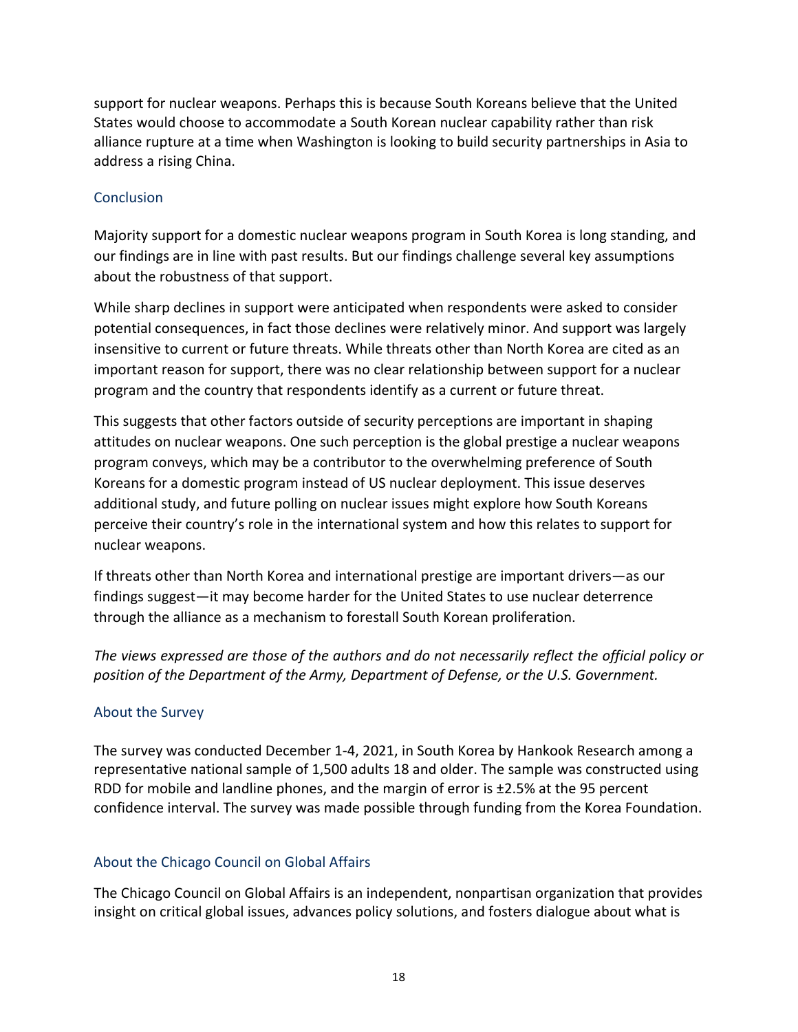support for nuclear weapons. Perhaps this is because South Koreans believe that the United States would choose to accommodate a South Korean nuclear capability rather than risk alliance rupture at a time when Washington is looking to build security partnerships in Asia to address a rising China.

## **Conclusion**

Majority support for a domestic nuclear weapons program in South Korea is long standing, and our findings are in line with past results. But our findings challenge several key assumptions about the robustness of that support.

While sharp declines in support were anticipated when respondents were asked to consider potential consequences, in fact those declines were relatively minor. And support was largely insensitive to current or future threats. While threats other than North Korea are cited as an important reason for support, there was no clear relationship between support for a nuclear program and the country that respondents identify as a current or future threat.

This suggests that other factors outside of security perceptions are important in shaping attitudes on nuclear weapons. One such perception is the global prestige a nuclear weapons program conveys, which may be a contributor to the overwhelming preference of South Koreans for a domestic program instead of US nuclear deployment. This issue deserves additional study, and future polling on nuclear issues might explore how South Koreans perceive their country's role in the international system and how this relates to support for nuclear weapons.

If threats other than North Korea and international prestige are important drivers—as our findings suggest—it may become harder for the United States to use nuclear deterrence through the alliance as a mechanism to forestall South Korean proliferation.

*The views expressed are those of the authors and do not necessarily reflect the official policy or position of the Department of the Army, Department of Defense, or the U.S. Government.*

# About the Survey

The survey was conducted December 1-4, 2021, in South Korea by Hankook Research among a representative national sample of 1,500 adults 18 and older. The sample was constructed using RDD for mobile and landline phones, and the margin of error is ±2.5% at the 95 percent confidence interval. The survey was made possible through funding from the Korea Foundation.

#### About the Chicago Council on Global Affairs

The Chicago Council on Global Affairs is an independent, nonpartisan organization that provides insight on critical global issues, advances policy solutions, and fosters dialogue about what is